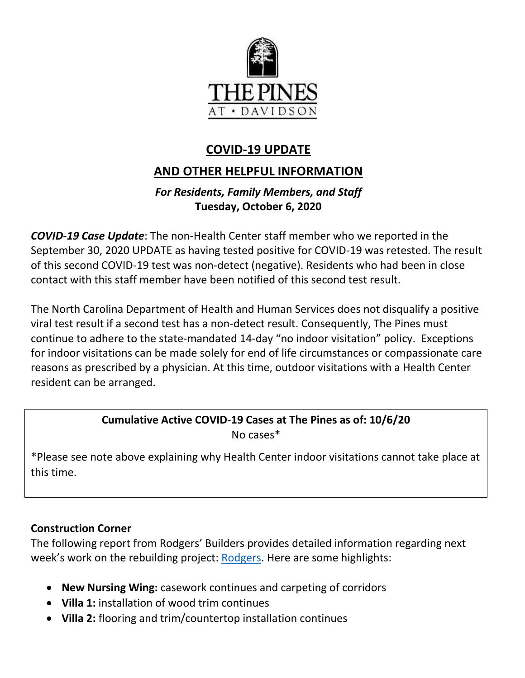

# **COVID-19 UPDATE**

## **AND OTHER HELPFUL INFORMATION**

## *For Residents, Family Members, and Staff* **Tuesday, October 6, 2020**

*COVID-19 Case Update*: The non-Health Center staff member who we reported in the September 30, 2020 UPDATE as having tested positive for COVID-19 was retested. The result of this second COVID-19 test was non-detect (negative). Residents who had been in close contact with this staff member have been notified of this second test result.

The North Carolina Department of Health and Human Services does not disqualify a positive viral test result if a second test has a non-detect result. Consequently, The Pines must continue to adhere to the state-mandated 14-day "no indoor visitation" policy. Exceptions for indoor visitations can be made solely for end of life circumstances or compassionate care reasons as prescribed by a physician. At this time, outdoor visitations with a Health Center resident can be arranged.

# **Cumulative Active COVID-19 Cases at The Pines as of: 10/6/20**

No cases\*

 \*Please see note above explaining why Health Center indoor visitations cannot take place at this time.

### **Construction Corner**

The following report from Rodgers' Builders provides detailed information regarding next week's work on the rebuilding project: [Rodgers.](https://www.mycommunity-center.com/filephotos/463/2020-10-2%20Weekly%20Update.pdf) Here are some highlights:

- **New Nursing Wing:** casework continues and carpeting of corridors
- **Villa 1:** installation of wood trim continues
- **Villa 2:** flooring and trim/countertop installation continues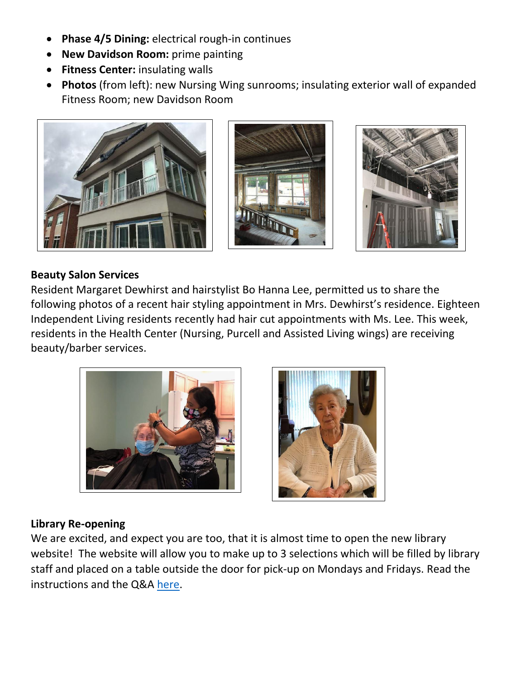- **Phase 4/5 Dining:** electrical rough-in continues
- **New Davidson Room:** prime painting
- **Fitness Center:** insulating walls
- **Photos** (from left): new Nursing Wing sunrooms; insulating exterior wall of expanded Fitness Room; new Davidson Room







#### **Beauty Salon Services**

Resident Margaret Dewhirst and hairstylist Bo Hanna Lee, permitted us to share the following photos of a recent hair styling appointment in Mrs. Dewhirst's residence. Eighteen Independent Living residents recently had hair cut appointments with Ms. Lee. This week, residents in the Health Center (Nursing, Purcell and Assisted Living wings) are receiving beauty/barber services.





#### **Library Re-opening**

We are excited, and expect you are too, that it is almost time to open the new library website! The website will allow you to make up to 3 selections which will be filled by library staff and placed on a table outside the door for pick-up on Mondays and Fridays. Read the instructions and the Q&A [here.](https://www.thepinesatdavidson.org/residents-and-families-portal#fancypdf-1602017453211)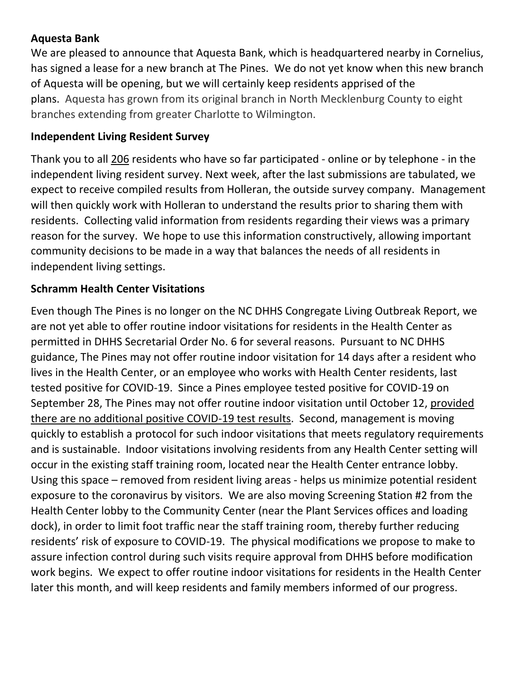#### **Aquesta Bank**

We are pleased to announce that Aquesta Bank, which is headquartered nearby in Cornelius, has signed a lease for a new branch at The Pines. We do not yet know when this new branch of Aquesta will be opening, but we will certainly keep residents apprised of the plans. Aquesta has grown from its original branch in North Mecklenburg County to eight branches extending from greater Charlotte to Wilmington.

#### **Independent Living Resident Survey**

Thank you to all 206 residents who have so far participated - online or by telephone - in the independent living resident survey. Next week, after the last submissions are tabulated, we expect to receive compiled results from Holleran, the outside survey company. Management will then quickly work with Holleran to understand the results prior to sharing them with residents. Collecting valid information from residents regarding their views was a primary reason for the survey. We hope to use this information constructively, allowing important community decisions to be made in a way that balances the needs of all residents in independent living settings.

#### **Schramm Health Center Visitations**

Even though The Pines is no longer on the NC DHHS Congregate Living Outbreak Report, we are not yet able to offer routine indoor visitations for residents in the Health Center as permitted in DHHS Secretarial Order No. 6 for several reasons. Pursuant to NC DHHS guidance, The Pines may not offer routine indoor visitation for 14 days after a resident who lives in the Health Center, or an employee who works with Health Center residents, last tested positive for COVID-19. Since a Pines employee tested positive for COVID-19 on September 28, The Pines may not offer routine indoor visitation until October 12, provided there are no additional positive COVID-19 test results. Second, management is moving quickly to establish a protocol for such indoor visitations that meets regulatory requirements and is sustainable. Indoor visitations involving residents from any Health Center setting will occur in the existing staff training room, located near the Health Center entrance lobby. Using this space – removed from resident living areas - helps us minimize potential resident exposure to the coronavirus by visitors. We are also moving Screening Station #2 from the Health Center lobby to the Community Center (near the Plant Services offices and loading dock), in order to limit foot traffic near the staff training room, thereby further reducing residents' risk of exposure to COVID-19. The physical modifications we propose to make to assure infection control during such visits require approval from DHHS before modification work begins. We expect to offer routine indoor visitations for residents in the Health Center later this month, and will keep residents and family members informed of our progress.